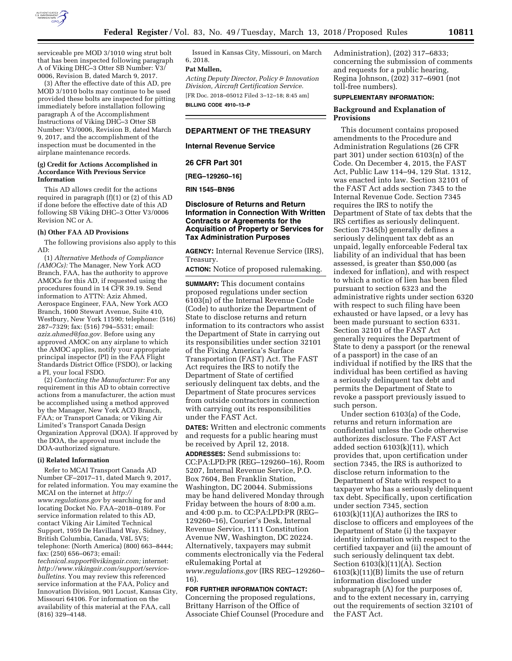

serviceable pre MOD 3/1010 wing strut bolt that has been inspected following paragraph A of Viking DHC–3 Otter SB Number: V3/ 0006, Revision B, dated March 9, 2017.

(3) After the effective date of this AD, pre MOD 3/1010 bolts may continue to be used provided these bolts are inspected for pitting immediately before installation following paragraph A of the Accomplishment Instructions of Viking DHC–3 Otter SB Number: V3/0006, Revision B, dated March 9, 2017, and the accomplishment of the inspection must be documented in the airplane maintenance records.

#### **(g) Credit for Actions Accomplished in Accordance With Previous Service Information**

This AD allows credit for the actions required in paragraph (f)(1) or (2) of this AD if done before the effective date of this AD following SB Viking DHC–3 Otter V3/0006 Revision NC or A.

#### **(h) Other FAA AD Provisions**

The following provisions also apply to this AD:

(1) *Alternative Methods of Compliance (AMOCs):* The Manager, New York ACO Branch, FAA, has the authority to approve AMOCs for this AD, if requested using the procedures found in 14 CFR 39.19. Send information to ATTN: Aziz Ahmed, Aerospace Engineer, FAA, New York ACO Branch, 1600 Stewart Avenue, Suite 410, Westbury, New York 11590; telephone: (516) 287–7329; fax: (516) 794–5531; email: *[aziz.ahmed@faa.gov.](mailto:aziz.ahmed@faa.gov)* Before using any approved AMOC on any airplane to which the AMOC applies, notify your appropriate principal inspector (PI) in the FAA Flight Standards District Office (FSDO), or lacking a PI, your local FSDO.

(2) *Contacting the Manufacturer:* For any requirement in this AD to obtain corrective actions from a manufacturer, the action must be accomplished using a method approved by the Manager, New York ACO Branch, FAA; or Transport Canada; or Viking Air Limited's Transport Canada Design Organization Approval (DOA). If approved by the DOA, the approval must include the DOA-authorized signature.

#### **(i) Related Information**

Refer to MCAI Transport Canada AD Number CF–2017–11, dated March 9, 2017, for related information. You may examine the MCAI on the internet at *[http://](http://www.regulations.gov) [www.regulations.gov](http://www.regulations.gov)* by searching for and locating Docket No. FAA–2018–0189. For service information related to this AD, contact Viking Air Limited Technical Support, 1959 De Havilland Way, Sidney, British Columbia, Canada, V8L 5V5; telephone: (North America) (800) 663–8444; fax: (250) 656–0673; email: *[technical.support@vikingair.com;](mailto:technical.support@vikingair.com)* internet: *[http://www.vikingair.com/support/service](http://www.vikingair.com/support/service-bulletins)[bulletins.](http://www.vikingair.com/support/service-bulletins)* You may review this referenced service information at the FAA, Policy and Innovation Division, 901 Locust, Kansas City, Missouri 64106. For information on the availability of this material at the FAA, call (816) 329–4148.

Issued in Kansas City, Missouri, on March 6, 2018.

# **Pat Mullen,**

*Acting Deputy Director, Policy & Innovation Division, Aircraft Certification Service.*  [FR Doc. 2018–05012 Filed 3–12–18; 8:45 am]

**BILLING CODE 4910–13–P** 

#### **DEPARTMENT OF THE TREASURY**

**Internal Revenue Service** 

**26 CFR Part 301** 

**[REG–129260–16]** 

**RIN 1545–BN96** 

## **Disclosure of Returns and Return Information in Connection With Written Contracts or Agreements for the Acquisition of Property or Services for Tax Administration Purposes**

**AGENCY:** Internal Revenue Service (IRS), Treasury.

**ACTION:** Notice of proposed rulemaking.

**SUMMARY:** This document contains proposed regulations under section 6103(n) of the Internal Revenue Code (Code) to authorize the Department of State to disclose returns and return information to its contractors who assist the Department of State in carrying out its responsibilities under section 32101 of the Fixing America's Surface Transportation (FAST) Act. The FAST Act requires the IRS to notify the Department of State of certified seriously delinquent tax debts, and the Department of State procures services from outside contractors in connection with carrying out its responsibilities under the FAST Act.

**DATES:** Written and electronic comments and requests for a public hearing must be received by April 12, 2018.

**ADDRESSES:** Send submissions to: CC:PA:LPD:PR (REG–129260–16), Room 5207, Internal Revenue Service, P.O. Box 7604, Ben Franklin Station, Washington, DC 20044. Submissions may be hand delivered Monday through Friday between the hours of 8:00 a.m. and 4:00 p.m. to CC:PA:LPD:PR (REG– 129260–16), Courier's Desk, Internal Revenue Service, 1111 Constitution Avenue NW, Washington, DC 20224. Alternatively, taxpayers may submit comments electronically via the Federal eRulemaking Portal at *[www.regulations.gov](http://www.regulations.gov)* (IRS REG–129260–

16).

#### **FOR FURTHER INFORMATION CONTACT:**

Concerning the proposed regulations, Brittany Harrison of the Office of Associate Chief Counsel (Procedure and

Administration), (202) 317–6833; concerning the submission of comments and requests for a public hearing, Regina Johnson, (202) 317–6901 (not toll-free numbers).

#### **SUPPLEMENTARY INFORMATION:**

### **Background and Explanation of Provisions**

This document contains proposed amendments to the Procedure and Administration Regulations (26 CFR part 301) under section 6103(n) of the Code. On December 4, 2015, the FAST Act, Public Law 114–94, 129 Stat. 1312, was enacted into law. Section 32101 of the FAST Act adds section 7345 to the Internal Revenue Code. Section 7345 requires the IRS to notify the Department of State of tax debts that the IRS certifies as seriously delinquent. Section 7345(b) generally defines a seriously delinquent tax debt as an unpaid, legally enforceable Federal tax liability of an individual that has been assessed, is greater than \$50,000 (as indexed for inflation), and with respect to which a notice of lien has been filed pursuant to section 6323 and the administrative rights under section 6320 with respect to such filing have been exhausted or have lapsed, or a levy has been made pursuant to section 6331. Section 32101 of the FAST Act generally requires the Department of State to deny a passport (or the renewal of a passport) in the case of an individual if notified by the IRS that the individual has been certified as having a seriously delinquent tax debt and permits the Department of State to revoke a passport previously issued to such person.

Under section 6103(a) of the Code, returns and return information are confidential unless the Code otherwise authorizes disclosure. The FAST Act added section 6103(k)(11), which provides that, upon certification under section 7345, the IRS is authorized to disclose return information to the Department of State with respect to a taxpayer who has a seriously delinquent tax debt. Specifically, upon certification under section 7345, section 6103(k)(11)(A) authorizes the IRS to disclose to officers and employees of the Department of State (i) the taxpayer identity information with respect to the certified taxpayer and (ii) the amount of such seriously delinquent tax debt. Section 6103(k)(11)(A). Section 6103(k)(11)(B) limits the use of return information disclosed under subparagraph (A) for the purposes of, and to the extent necessary in, carrying out the requirements of section 32101 of the FAST Act.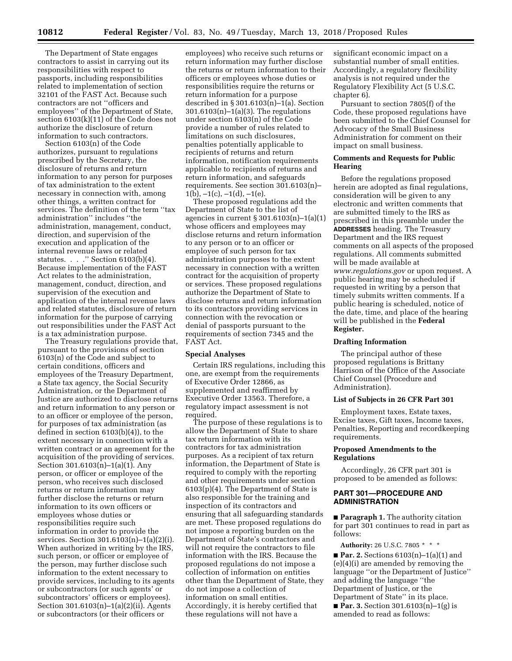The Department of State engages contractors to assist in carrying out its responsibilities with respect to passports, including responsibilities related to implementation of section 32101 of the FAST Act. Because such contractors are not ''officers and employees'' of the Department of State, section 6103(k)(11) of the Code does not authorize the disclosure of return information to such contractors.

Section 6103(n) of the Code authorizes, pursuant to regulations prescribed by the Secretary, the disclosure of returns and return information to any person for purposes of tax administration to the extent necessary in connection with, among other things, a written contract for services. The definition of the term ''tax administration'' includes ''the administration, management, conduct, direction, and supervision of the execution and application of the internal revenue laws or related statutes. . . . " Section 6103(b)(4). Because implementation of the FAST Act relates to the administration, management, conduct, direction, and supervision of the execution and application of the internal revenue laws and related statutes, disclosure of return information for the purpose of carrying out responsibilities under the FAST Act is a tax administration purpose.

The Treasury regulations provide that, pursuant to the provisions of section 6103(n) of the Code and subject to certain conditions, officers and employees of the Treasury Department, a State tax agency, the Social Security Administration, or the Department of Justice are authorized to disclose returns and return information to any person or to an officer or employee of the person, for purposes of tax administration (as defined in section 6103(b)(4)), to the extent necessary in connection with a written contract or an agreement for the acquisition of the providing of services. Section 301.6103(n)–1(a)(1). Any person, or officer or employee of the person, who receives such disclosed returns or return information may further disclose the returns or return information to its own officers or employees whose duties or responsibilities require such information in order to provide the services. Section 301.6103(n)–1(a)(2)(i). When authorized in writing by the IRS, such person, or officer or employee of the person, may further disclose such information to the extent necessary to provide services, including to its agents or subcontractors (or such agents' or subcontractors' officers or employees). Section 301.6103(n)–1(a)(2)(ii). Agents or subcontractors (or their officers or

employees) who receive such returns or return information may further disclose the returns or return information to their officers or employees whose duties or responsibilities require the returns or return information for a purpose described in § 301.6103(n)–1(a). Section 301.6103(n)–1(a)(3). The regulations under section 6103(n) of the Code provide a number of rules related to limitations on such disclosures, penalties potentially applicable to recipients of returns and return information, notification requirements applicable to recipients of returns and return information, and safeguards requirements. See section 301.6103(n)–  $1(b), -1(c), -1(d), -1(e).$ 

These proposed regulations add the Department of State to the list of agencies in current § 301.6103(n)–1(a)(1) whose officers and employees may disclose returns and return information to any person or to an officer or employee of such person for tax administration purposes to the extent necessary in connection with a written contract for the acquisition of property or services. These proposed regulations authorize the Department of State to disclose returns and return information to its contractors providing services in connection with the revocation or denial of passports pursuant to the requirements of section 7345 and the FAST Act.

#### **Special Analyses**

Certain IRS regulations, including this one, are exempt from the requirements of Executive Order 12866, as supplemented and reaffirmed by Executive Order 13563. Therefore, a regulatory impact assessment is not required.

The purpose of these regulations is to allow the Department of State to share tax return information with its contractors for tax administration purposes. As a recipient of tax return information, the Department of State is required to comply with the reporting and other requirements under section 6103(p)(4). The Department of State is also responsible for the training and inspection of its contractors and ensuring that all safeguarding standards are met. These proposed regulations do not impose a reporting burden on the Department of State's contractors and will not require the contractors to file information with the IRS. Because the proposed regulations do not impose a collection of information on entities other than the Department of State, they do not impose a collection of information on small entities. Accordingly, it is hereby certified that these regulations will not have a

significant economic impact on a substantial number of small entities. Accordingly, a regulatory flexibility analysis is not required under the Regulatory Flexibility Act (5 U.S.C. chapter 6).

Pursuant to section 7805(f) of the Code, these proposed regulations have been submitted to the Chief Counsel for Advocacy of the Small Business Administration for comment on their impact on small business.

### **Comments and Requests for Public Hearing**

Before the regulations proposed herein are adopted as final regulations, consideration will be given to any electronic and written comments that are submitted timely to the IRS as prescribed in this preamble under the **ADDRESSES** heading. The Treasury Department and the IRS request comments on all aspects of the proposed regulations. All comments submitted will be made available at *[www.regulations.gov](http://www.regulations.gov)* or upon request. A public hearing may be scheduled if requested in writing by a person that timely submits written comments. If a public hearing is scheduled, notice of the date, time, and place of the hearing will be published in the **Federal Register.** 

### **Drafting Information**

The principal author of these proposed regulations is Brittany Harrison of the Office of the Associate Chief Counsel (Procedure and Administration).

#### **List of Subjects in 26 CFR Part 301**

Employment taxes, Estate taxes, Excise taxes, Gift taxes, Income taxes, Penalties, Reporting and recordkeeping requirements.

## **Proposed Amendments to the Regulations**

Accordingly, 26 CFR part 301 is proposed to be amended as follows:

## **PART 301—PROCEDURE AND ADMINISTRATION**

■ **Paragraph 1.** The authority citation for part 301 continues to read in part as follows:

**Authority:** 26 U.S.C. 7805 \* \* \*

■ **Par. 2.** Sections 6103(n)–1(a)(1) and (e)(4)(i) are amended by removing the language ''or the Department of Justice'' and adding the language ''the Department of Justice, or the Department of State'' in its place. ■ **Par. 3.** Section 301.6103(n)–1(g) is amended to read as follows: